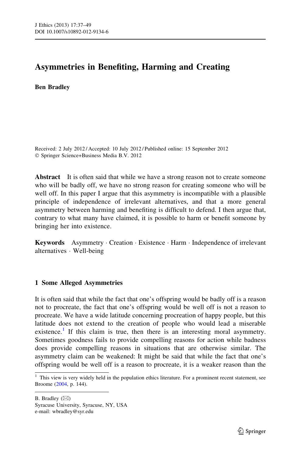# Asymmetries in Benefiting, Harming and Creating

### Ben Bradley

Received: 2 July 2012 / Accepted: 10 July 2012 / Published online: 15 September 2012 - Springer Science+Business Media B.V. 2012

Abstract It is often said that while we have a strong reason not to create someone who will be badly off, we have no strong reason for creating someone who will be well off. In this paper I argue that this asymmetry is incompatible with a plausible principle of independence of irrelevant alternatives, and that a more general asymmetry between harming and benefiting is difficult to defend. I then argue that, contrary to what many have claimed, it is possible to harm or benefit someone by bringing her into existence.

Keywords Asymmetry · Creation · Existence · Harm · Independence of irrelevant alternatives - Well-being

## 1 Some Alleged Asymmetries

It is often said that while the fact that one's offspring would be badly off is a reason not to procreate, the fact that one's offspring would be well off is not a reason to procreate. We have a wide latitude concerning procreation of happy people, but this latitude does not extend to the creation of people who would lead a miserable existence.<sup>1</sup> If this claim is true, then there is an interesting moral asymmetry. Sometimes goodness fails to provide compelling reasons for action while badness does provide compelling reasons in situations that are otherwise similar. The asymmetry claim can be weakened: It might be said that while the fact that one's offspring would be well off is a reason to procreate, it is a weaker reason than the

 $1$  This view is very widely held in the population ethics literature. For a prominent recent statement, see Broome [\(2004,](#page-11-0) p. 144).

B. Bradley  $(\boxtimes)$ 

Syracuse University, Syracuse, NY, USA e-mail: wbradley@syr.edu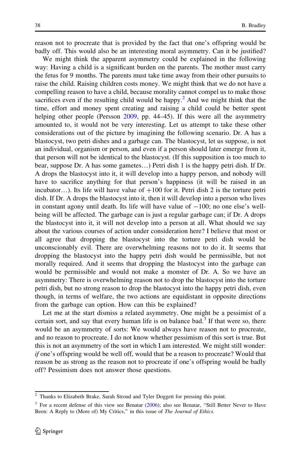reason not to procreate that is provided by the fact that one's offspring would be badly off. This would also be an interesting moral asymmetry. Can it be justified?

We might think the apparent asymmetry could be explained in the following way: Having a child is a significant burden on the parents. The mother must carry the fetus for 9 months. The parents must take time away from their other pursuits to raise the child. Raising children costs money. We might think that we do not have a compelling reason to have a child, because morality cannot compel us to make those sacrifices even if the resulting child would be happy.<sup>2</sup> And we might think that the time, effort and money spent creating and raising a child could be better spent helping other people (Persson [2009](#page-12-0), pp. 44–45). If this were all the asymmetry amounted to, it would not be very interesting. Let us attempt to take these other considerations out of the picture by imagining the following scenario. Dr. A has a blastocyst, two petri dishes and a garbage can. The blastocyst, let us suppose, is not an individual, organism or person, and even if a person should later emerge from it, that person will not be identical to the blastocyst. (If this supposition is too much to bear, suppose Dr. A has some gametes…) Petri dish 1 is the happy petri dish. If Dr. A drops the blastocyst into it, it will develop into a happy person, and nobody will have to sacrifice anything for that person's happiness (it will be raised in an incubator...). Its life will have value of  $+100$  for it. Petri dish 2 is the torture petri dish. If Dr. A drops the blastocyst into it, then it will develop into a person who lives in constant agony until death. Its life will have value of  $-100$ ; no one else's wellbeing will be affected. The garbage can is just a regular garbage can; if Dr. A drops the blastocyst into it, it will not develop into a person at all. What should we say about the various courses of action under consideration here? I believe that most or all agree that dropping the blastocyst into the torture petri dish would be unconscionably evil. There are overwhelming reasons not to do it. It seems that dropping the blastocyst into the happy petri dish would be permissible, but not morally required. And it seems that dropping the blastocyst into the garbage can would be permissible and would not make a monster of Dr. A. So we have an asymmetry: There is overwhelming reason not to drop the blastocyst into the torture petri dish, but no strong reason to drop the blastocyst into the happy petri dish, even though, in terms of welfare, the two actions are equidistant in opposite directions from the garbage can option. How can this be explained?

Let me at the start dismiss a related asymmetry. One might be a pessimist of a certain sort, and say that every human life is on balance bad.<sup>3</sup> If that were so, there would be an asymmetry of sorts: We would always have reason not to procreate, and no reason to procreate. I do not know whether pessimism of this sort is true. But this is not an asymmetry of the sort in which I am interested. We might still wonder: if one's offspring would be well off, would that be a reason to procreate? Would that reason be as strong as the reason not to procreate if one's offspring would be badly off? Pessimism does not answer those questions.

<sup>&</sup>lt;sup>2</sup> Thanks to Elizabeth Brake, Sarah Stroud and Tyler Doggett for pressing this point.

<sup>&</sup>lt;sup>3</sup> For a recent defense of this view see Benatar [\(2006](#page-11-0)); also see Benatar, "Still Better Never to Have Been: A Reply to (More of) My Critics," in this issue of The Journal of Ethics.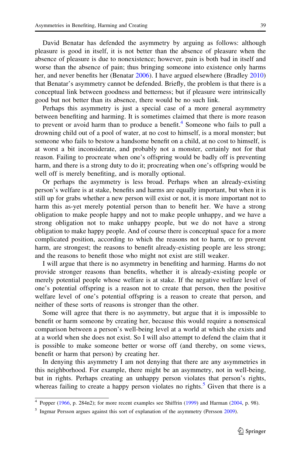David Benatar has defended the asymmetry by arguing as follows: although pleasure is good in itself, it is not better than the absence of pleasure when the absence of pleasure is due to nonexistence; however, pain is both bad in itself and worse than the absence of pain; thus bringing someone into existence only harms her, and never benefits her (Benatar [2006](#page-11-0)). I have argued elsewhere (Bradley [2010](#page-11-0)) that Benatar's asymmetry cannot be defended. Briefly, the problem is that there is a conceptual link between goodness and betterness; but if pleasure were intrinsically good but not better than its absence, there would be no such link.

Perhaps this asymmetry is just a special case of a more general asymmetry between benefiting and harming. It is sometimes claimed that there is more reason to prevent or avoid harm than to produce a benefit.<sup>4</sup> Someone who fails to pull a drowning child out of a pool of water, at no cost to himself, is a moral monster; but someone who fails to bestow a handsome benefit on a child, at no cost to himself, is at worst a bit inconsiderate, and probably not a monster, certainly not for that reason. Failing to procreate when one's offspring would be badly off is preventing harm, and there is a strong duty to do it; procreating when one's offspring would be well off is merely benefiting, and is morally optional.

Or perhaps the asymmetry is less broad. Perhaps when an already-existing person's welfare is at stake, benefits and harms are equally important, but when it is still up for grabs whether a new person will exist or not, it is more important not to harm this as-yet merely potential person than to benefit her. We have a strong obligation to make people happy and not to make people unhappy, and we have a strong obligation not to make unhappy people, but we do not have a strong obligation to make happy people. And of course there is conceptual space for a more complicated position, according to which the reasons not to harm, or to prevent harm, are strongest; the reasons to benefit already-existing people are less strong; and the reasons to benefit those who might not exist are still weaker.

I will argue that there is no asymmetry in benefiting and harming. Harms do not provide stronger reasons than benefits, whether it is already-existing people or merely potential people whose welfare is at stake. If the negative welfare level of one's potential offspring is a reason not to create that person, then the positive welfare level of one's potential offspring is a reason to create that person, and neither of these sorts of reasons is stronger than the other.

Some will agree that there is no asymmetry, but argue that it is impossible to benefit or harm someone by creating her, because this would require a nonsensical comparison between a person's well-being level at a world at which she exists and at a world when she does not exist. So I will also attempt to defend the claim that it is possible to make someone better or worse off (and thereby, on some views, benefit or harm that person) by creating her.

In denying this asymmetry I am not denying that there are any asymmetries in this neighborhood. For example, there might be an asymmetry, not in well-being, but in rights. Perhaps creating an unhappy person violates that person's rights, whereas failing to create a happy person violates no rights. $5$  Given that there is a

<sup>&</sup>lt;sup>4</sup> Popper ([1966,](#page-12-0) p. 284n2); for more recent examples see Shiffrin [\(1999](#page-12-0)) and Harman ([2004](#page-11-0), p. 98).

<sup>&</sup>lt;sup>5</sup> Ingmar Persson argues against this sort of explanation of the asymmetry (Persson [2009](#page-12-0)).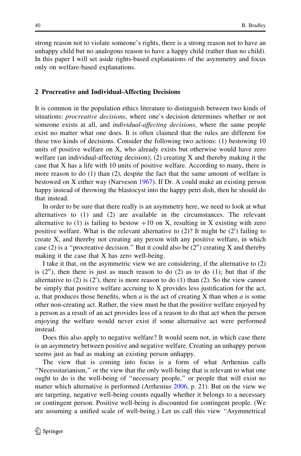strong reason not to violate someone's rights, there is a strong reason not to have an unhappy child but no analogous reason to have a happy child (rather than no child). In this paper I will set aside rights-based explanations of the asymmetry and focus only on welfare-based explanations.

#### 2 Procreative and Individual-Affecting Decisions

It is common in the population ethics literature to distinguish between two kinds of situations: *procreative decisions*, where one's decision determines whether or not someone exists at all, and individual-affecting decisions, where the same people exist no matter what one does. It is often claimed that the rules are different for these two kinds of decisions. Consider the following two actions: (1) bestowing 10 units of positive welfare on X, who already exists but otherwise would have zero welfare (an individual-affecting decision); (2) creating X and thereby making it the case that X has a life with 10 units of positive welfare. According to many, there is more reason to do  $(1)$  than  $(2)$ , despite the fact that the same amount of welfare is bestowed on X either way (Narveson [1967\)](#page-12-0). If Dr. A could make an existing person happy instead of throwing the blastocyst into the happy petri dish, then he should do that instead.

In order to be sure that there really is an asymmetry here, we need to look at what alternatives to (1) and (2) are available in the circumstances. The relevant alternative to (1) is failing to bestow  $+10$  on X, resulting in X existing with zero positive welfare. What is the relevant alternative to  $(2)$ ? It might be  $(2')$  failing to create X, and thereby not creating any person with any positive welfare, in which case (2) is a "procreative decision." But it could also be  $(2'')$  creating X and thereby making it the case that X has zero well-being.

I take it that, on the asymmetric view we are considering, if the alternative to (2) is  $(2'')$ , then there is just as much reason to do  $(2)$  as to do  $(1)$ ; but that if the alternative to  $(2)$  is  $(2')$ , there is more reason to do  $(1)$  than  $(2)$ . So the view cannot be simply that positive welfare accruing to X provides less justification for the act, a, that produces those benefits, when  $\alpha$  is the act of creating X than when  $\alpha$  is some other non-creating act. Rather, the view must be that the positive welfare enjoyed by a person as a result of an act provides less of a reason to do that act when the person enjoying the welfare would never exist if some alternative act were performed instead.

Does this also apply to negative welfare? It would seem not, in which case there is an asymmetry between positive and negative welfare. Creating an unhappy person seems just as bad as making an existing person unhappy.

The view that is coming into focus is a form of what Arrhenius calls ''Necessitarianism,'' or the view that the only well-being that is relevant to what one ought to do is the well-being of ''necessary people,'' or people that will exist no matter which alternative is performed (Arrhenius [2006](#page-11-0), p. 21). But on the view we are targeting, negative well-being counts equally whether it belongs to a necessary or contingent person. Positive well-being is discounted for contingent people. (We are assuming a unified scale of well-being.) Let us call this view ''Asymmetrical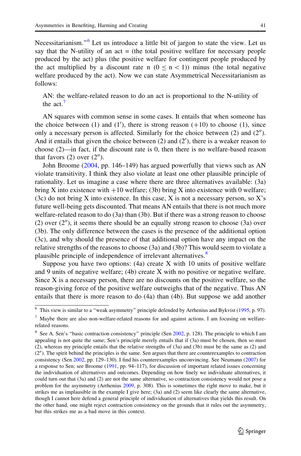Necessitarianism."<sup>6</sup> Let us introduce a little bit of jargon to state the view. Let us say that the N-utility of an  $act = (the total positive welfare for necessary people)$ produced by the act) plus (the positive welfare for contingent people produced by the act multiplied by a discount rate n  $(0 \le n \le 1)$ ) minus (the total negative welfare produced by the act). Now we can state Asymmetrical Necessitarianism as follows:

AN: the welfare-related reason to do an act is proportional to the N-utility of the act<sup>7</sup>

AN squares with common sense in some cases. It entails that when someone has the choice between (1) and (1'), there is strong reason  $(+10)$  to choose (1), since only a necessary person is affected. Similarly for the choice between  $(2)$  and  $(2'')$ . And it entails that given the choice between  $(2)$  and  $(2')$ , there is a weaker reason to choose (2)—in fact, if the discount rate is 0, then there is no welfare-based reason that favors  $(2)$  over  $(2'')$ .

John Broome ([2004](#page-11-0), pp. 146–149) has argued powerfully that views such as AN violate transitivity. I think they also violate at least one other plausible principle of rationality. Let us imagine a case where there are three alternatives available: (3a) bring X into existence with  $+10$  welfare; (3b) bring X into existence with 0 welfare;  $(3c)$  do not bring X into existence. In this case, X is not a necessary person, so X's future well-being gets discounted. That means AN entails that there is not much more welfare-related reason to do (3a) than (3b). But if there was a strong reason to choose (2) over  $(2'')$ , it seems there should be an equally strong reason to choose (3a) over (3b). The only difference between the cases is the presence of the additional option (3c), and why should the presence of that additional option have any impact on the relative strengths of the reasons to choose (3a) and (3b)? This would seem to violate a plausible principle of independence of irrelevant alternatives.<sup>8</sup>

Suppose you have two options:  $(4a)$  create X with 10 units of positive welfare and 9 units of negative welfare; (4b) create X with no positive or negative welfare. Since X is a necessary person, there are no discounts on the positive welfare, so the reason-giving force of the positive welfare outweighs that of the negative. Thus AN entails that there is more reason to do (4a) than (4b). But suppose we add another

<sup>6</sup> This view is similar to a ''weak asymmetry'' principle defended by Arrhenius and Bykvist [\(1995](#page-11-0), p. 97).

 $7$  Maybe there are also non-welfare-related reasons for and against actions. I am focusing on welfarerelated reasons.

<sup>&</sup>lt;sup>8</sup> See A. Sen's "basic contraction consistency" principle (Sen [2002](#page-12-0), p. 128). The principle to which I am appealing is not quite the same; Sen's principle merely entails that if (3a) must be chosen, then so must (2), whereas my principle entails that the relative strengths of (3a) and (3b) must be the same as (2) and  $(2<sup>n</sup>)$ . The spirit behind the principles is the same. Sen argues that there are counterexamples to contraction consistency (Sen [2002](#page-12-0), pp. 129–130). I find his counterexamples unconvincing. See Neumann [\(2007](#page-12-0)) for a response to Sen; see Broome [\(1991,](#page-11-0) pp. 94–117), for discussion of important related issues concerning the individuation of alternatives and outcomes. Depending on how finely we individuate alternatives, it could turn out that (3a) and (2) are not the same alternative, so contraction consistency would not pose a problem for the asymmetry (Arrhenius [2009,](#page-11-0) p. 308). This is sometimes the right move to make, but it strikes me as implausible in the example I give here; (3a) and (2) seem like clearly the same alternative, though I cannot here defend a general principle of individuation of alternatives that yields this result. On the other hand, one might reject contraction consistency on the grounds that it rules out the asymmetry, but this strikes me as a bad move in this context.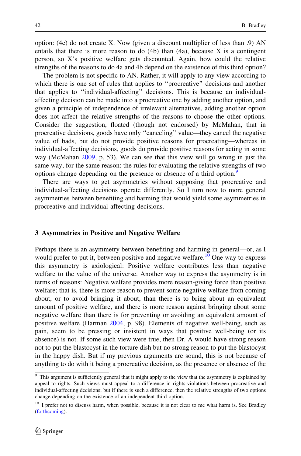option: (4c) do not create X. Now (given a discount multiplier of less than .9) AN entails that there is more reason to do  $(4b)$  than  $(4a)$ , because X is a contingent person, so X's positive welfare gets discounted. Again, how could the relative strengths of the reasons to do 4a and 4b depend on the existence of this third option?

The problem is not specific to AN. Rather, it will apply to any view according to which there is one set of rules that applies to ''procreative'' decisions and another that applies to ''individual-affecting'' decisions. This is because an individualaffecting decision can be made into a procreative one by adding another option, and given a principle of independence of irrelevant alternatives, adding another option does not affect the relative strengths of the reasons to choose the other options. Consider the suggestion, floated (though not endorsed) by McMahan, that in procreative decisions, goods have only ''canceling'' value—they cancel the negative value of bads, but do not provide positive reasons for procreating—whereas in individual-affecting decisions, goods do provide positive reasons for acting in some way (McMahan [2009,](#page-12-0) p. 53). We can see that this view will go wrong in just the same way, for the same reason: the rules for evaluating the relative strengths of two options change depending on the presence or absence of a third option.<sup>9</sup>

There are ways to get asymmetries without supposing that procreative and individual-affecting decisions operate differently. So I turn now to more general asymmetries between benefiting and harming that would yield some asymmetries in procreative and individual-affecting decisions.

#### 3 Asymmetries in Positive and Negative Welfare

Perhaps there is an asymmetry between benefiting and harming in general—or, as I would prefer to put it, between positive and negative welfare.<sup>10</sup> One way to express this asymmetry is axiological: Positive welfare contributes less than negative welfare to the value of the universe. Another way to express the asymmetry is in terms of reasons: Negative welfare provides more reason-giving force than positive welfare; that is, there is more reason to prevent some negative welfare from coming about, or to avoid bringing it about, than there is to bring about an equivalent amount of positive welfare, and there is more reason against bringing about some negative welfare than there is for preventing or avoiding an equivalent amount of positive welfare (Harman [2004,](#page-11-0) p. 98). Elements of negative well-being, such as pain, seem to be pressing or insistent in ways that positive well-being (or its absence) is not. If some such view were true, then Dr. A would have strong reason not to put the blastocyst in the torture dish but no strong reason to put the blastocyst in the happy dish. But if my previous arguments are sound, this is not because of anything to do with it being a procreative decision, as the presence or absence of the

<sup>&</sup>lt;sup>9</sup> This argument is sufficiently general that it might apply to the view that the asymmetry is explained by appeal to rights. Such views must appeal to a difference in rights-violations between procreative and individual-affecting decisions; but if there is such a difference, then the relative strengths of two options change depending on the existence of an independent third option.

<sup>&</sup>lt;sup>10</sup> I prefer not to discuss harm, when possible, because it is not clear to me what harm is. See Bradley ([forthcoming](#page-11-0)).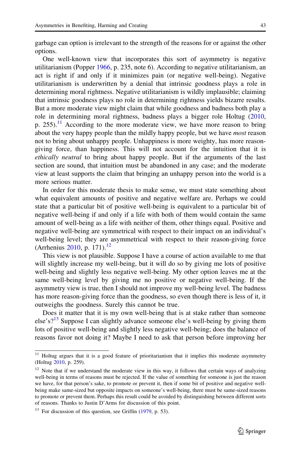garbage can option is irrelevant to the strength of the reasons for or against the other options.

One well-known view that incorporates this sort of asymmetry is negative utilitarianism (Popper [1966](#page-12-0), p. 235, note 6). According to negative utilitarianism, an act is right if and only if it minimizes pain (or negative well-being). Negative utilitarianism is underwritten by a denial that intrinsic goodness plays a role in determining moral rightness. Negative utilitarianism is wildly implausible; claiming that intrinsic goodness plays no role in determining rightness yields bizarre results. But a more moderate view might claim that while goodness and badness both play a role in determining moral rightness, badness plays a bigger role Holtug ([2010,](#page-11-0) p. 255).<sup>11</sup> According to the more moderate view, we have more reason to bring about the very happy people than the mildly happy people, but we have *most* reason not to bring about unhappy people. Unhappiness is more weighty, has more reasongiving force, than happiness. This will not account for the intuition that it is ethically neutral to bring about happy people. But if the arguments of the last section are sound, that intuition must be abandoned in any case; and the moderate view at least supports the claim that bringing an unhappy person into the world is a more serious matter.

In order for this moderate thesis to make sense, we must state something about what equivalent amounts of positive and negative welfare are. Perhaps we could state that a particular bit of positive well-being is equivalent to a particular bit of negative well-being if and only if a life with both of them would contain the same amount of well-being as a life with neither of them, other things equal. Positive and negative well-being are symmetrical with respect to their impact on an individual's well-being level; they are asymmetrical with respect to their reason-giving force (Arrhenius [2010,](#page-11-0) p. 171).<sup>12</sup>

This view is not plausible. Suppose I have a course of action available to me that will slightly increase my well-being, but it will do so by giving me lots of positive well-being and slightly less negative well-being. My other option leaves me at the same well-being level by giving me no positive or negative well-being. If the asymmetry view is true, then I should not improve my well-being level. The badness has more reason-giving force than the goodness, so even though there is less of it, it outweighs the goodness. Surely this cannot be true.

Does it matter that it is my own well-being that is at stake rather than someone else's?<sup>13</sup> Suppose I can slightly advance someone else's well-being by giving them lots of positive well-being and slightly less negative well-being; does the balance of reasons favor not doing it? Maybe I need to ask that person before improving her

<sup>11</sup> Holtug argues that it is a good feature of prioritarianism that it implies this moderate asymmetry (Holtug [2010](#page-11-0), p. 259).

<sup>&</sup>lt;sup>12</sup> Note that if we understand the moderate view in this way, it follows that certain ways of analyzing well-being in terms of reasons must be rejected. If the value of something for someone is just the reason we have, for that person's sake, to promote or prevent it, then if some bit of positive and negative wellbeing make same-sized but opposite impacts on someone's well-being, there must be same-sized reasons to promote or prevent them. Perhaps this result could be avoided by distinguishing between different sorts of reasons. Thanks to Justin D'Arms for discussion of this point.

 $13$  For discussion of this question, see Griffin [\(1979](#page-11-0), p. 53).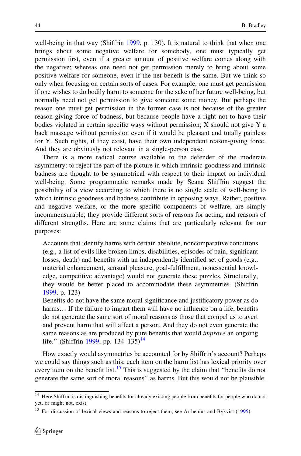well-being in that way (Shiffrin [1999](#page-12-0), p. 130). It is natural to think that when one brings about some negative welfare for somebody, one must typically get permission first, even if a greater amount of positive welfare comes along with the negative; whereas one need not get permission merely to bring about some positive welfare for someone, even if the net benefit is the same. But we think so only when focusing on certain sorts of cases. For example, one must get permission if one wishes to do bodily harm to someone for the sake of her future well-being, but normally need not get permission to give someone some money. But perhaps the reason one must get permission in the former case is not because of the greater reason-giving force of badness, but because people have a right not to have their bodies violated in certain specific ways without permission;  $X$  should not give  $Y$  a back massage without permission even if it would be pleasant and totally painless for Y. Such rights, if they exist, have their own independent reason-giving force. And they are obviously not relevant in a single-person case.

There is a more radical course available to the defender of the moderate asymmetry: to reject the part of the picture in which intrinsic goodness and intrinsic badness are thought to be symmetrical with respect to their impact on individual well-being. Some programmatic remarks made by Seana Shiffrin suggest the possibility of a view according to which there is no single scale of well-being to which intrinsic goodness and badness contribute in opposing ways. Rather, positive and negative welfare, or the more specific components of welfare, are simply incommensurable; they provide different sorts of reasons for acting, and reasons of different strengths. Here are some claims that are particularly relevant for our purposes:

Accounts that identify harms with certain absolute, noncomparative conditions (e.g., a list of evils like broken limbs, disabilities, episodes of pain, significant losses, death) and benefits with an independently identified set of goods (e.g., material enhancement, sensual pleasure, goal-fulfillment, nonessential knowledge, competitive advantage) would not generate these puzzles. Structurally, they would be better placed to accommodate these asymmetries. (Shiffrin [1999](#page-12-0), p. 123)

Benefits do not have the same moral significance and justificatory power as do harms... If the failure to impart them will have no influence on a life, benefits do not generate the same sort of moral reasons as those that compel us to avert and prevent harm that will affect a person. And they do not even generate the same reasons as are produced by pure benefits that would *improve* an ongoing life." (Shiffrin [1999,](#page-12-0) pp. 134–135)<sup>14</sup>

How exactly would asymmetries be accounted for by Shiffrin's account? Perhaps we could say things such as this: each item on the harm list has lexical priority over every item on the benefit list.<sup>15</sup> This is suggested by the claim that "benefits do not generate the same sort of moral reasons'' as harms. But this would not be plausible.

<sup>&</sup>lt;sup>14</sup> Here Shiffrin is distinguishing benefits for already existing people from benefits for people who do not yet, or might not, exist.

<sup>&</sup>lt;sup>15</sup> For discussion of lexical views and reasons to reject them, see Arrhenius and Bykvist [\(1995\)](#page-11-0).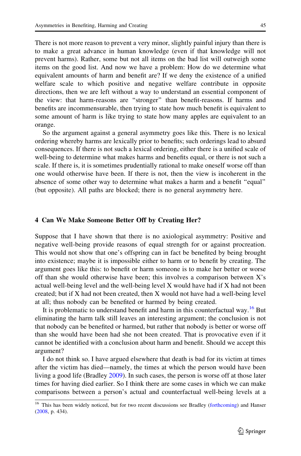There is not more reason to prevent a very minor, slightly painful injury than there is to make a great advance in human knowledge (even if that knowledge will not prevent harms). Rather, some but not all items on the bad list will outweigh some items on the good list. And now we have a problem: How do we determine what equivalent amounts of harm and benefit are? If we deny the existence of a unified welfare scale to which positive and negative welfare contribute in opposite directions, then we are left without a way to understand an essential component of the view: that harm-reasons are ''stronger'' than benefit-reasons. If harms and benefits are incommensurable, then trying to state how much benefit is equivalent to some amount of harm is like trying to state how many apples are equivalent to an orange.

So the argument against a general asymmetry goes like this. There is no lexical ordering whereby harms are lexically prior to benefits; such orderings lead to absurd consequences. If there is not such a lexical ordering, either there is a unified scale of well-being to determine what makes harms and benefits equal, or there is not such a scale. If there is, it is sometimes prudentially rational to make oneself worse off than one would otherwise have been. If there is not, then the view is incoherent in the absence of some other way to determine what makes a harm and a benefit ''equal'' (but opposite). All paths are blocked; there is no general asymmetry here.

#### 4 Can We Make Someone Better Off by Creating Her?

Suppose that I have shown that there is no axiological asymmetry: Positive and negative well-being provide reasons of equal strength for or against procreation. This would not show that one's offspring can in fact be benefited by being brought into existence; maybe it is impossible either to harm or to benefit by creating. The argument goes like this: to benefit or harm someone is to make her better or worse off than she would otherwise have been; this involves a comparison between X's actual well-being level and the well-being level X would have had if X had not been created; but if X had not been created, then X would not have had a well-being level at all; thus nobody can be benefited or harmed by being created.

It is problematic to understand benefit and harm in this counterfactual way.<sup>16</sup> But eliminating the harm talk still leaves an interesting argument; the conclusion is not that nobody can be benefited or harmed, but rather that nobody is better or worse off than she would have been had she not been created. That is provocative even if it cannot be identified with a conclusion about harm and benefit. Should we accept this argument?

I do not think so. I have argued elsewhere that death is bad for its victim at times after the victim has died—namely, the times at which the person would have been living a good life (Bradley [2009](#page-11-0)). In such cases, the person is worse off at those later times for having died earlier. So I think there are some cases in which we can make comparisons between a person's actual and counterfactual well-being levels at a

<sup>&</sup>lt;sup>16</sup> This has been widely noticed, but for two recent discussions see Bradley ([forthcoming](#page-11-0)) and Hanser ([2008,](#page-11-0) p. 434).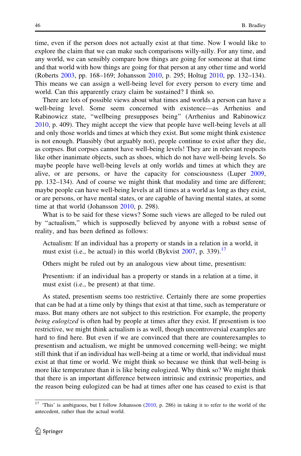time, even if the person does not actually exist at that time. Now I would like to explore the claim that we can make such comparisons willy-nilly. For any time, and any world, we can sensibly compare how things are going for someone at that time and that world with how things are going for that person at any other time and world (Roberts [2003,](#page-12-0) pp. 168–169; Johansson [2010](#page-11-0), p. 295; Holtug [2010,](#page-11-0) pp. 132–134). This means we can assign a well-being level for every person to every time and world. Can this apparently crazy claim be sustained? I think so.

There are lots of possible views about what times and worlds a person can have a well-being level. Some seem concerned with existence—as Arrhenius and Rabinowicz state, ''wellbeing presupposes being'' (Arrhenius and Rabinowicz [2010,](#page-11-0) p. 409). They might accept the view that people have well-being levels at all and only those worlds and times at which they exist. But some might think existence is not enough. Plausibly (but arguably not), people continue to exist after they die, as corpses. But corpses cannot have well-being levels! They are in relevant respects like other inanimate objects, such as shoes, which do not have well-being levels. So maybe people have well-being levels at only worlds and times at which they are alive, or are persons, or have the capacity for consciousness (Luper [2009,](#page-11-0) pp. 132–134). And of course we might think that modality and time are different; maybe people can have well-being levels at all times at a world as long as they exist, or are persons, or have mental states, or are capable of having mental states, at some time at that world (Johansson [2010](#page-11-0), p. 298).

What is to be said for these views? Some such views are alleged to be ruled out by ''actualism,'' which is supposedly believed by anyone with a robust sense of reality, and has been defined as follows:

Actualism: If an individual has a property or stands in a relation in a world, it must exist (i.e., be actual) in this world (Bykvist  $2007$ , p. 339).<sup>17</sup>

Others might be ruled out by an analogous view about time, presentism:

Presentism: if an individual has a property or stands in a relation at a time, it must exist (i.e., be present) at that time.

As stated, presentism seems too restrictive. Certainly there are some properties that can be had at a time only by things that exist at that time, such as temperature or mass. But many others are not subject to this restriction. For example, the property being eulogized is often had by people at times after they exist. If presentism is too restrictive, we might think actualism is as well, though uncontroversial examples are hard to find here. But even if we are convinced that there are counterexamples to presentism and actualism, we might be unmoved concerning well-being; we might still think that if an individual has well-being at a time or world, that individual must exist at that time or world. We might think so because we think that well-being is more like temperature than it is like being eulogized. Why think so? We might think that there is an important difference between intrinsic and extrinsic properties, and the reason being eulogized can be had at times after one has ceased to exist is that

 $17$  'This' is ambiguous, but I follow Johansson [\(2010,](#page-11-0) p. 286) in taking it to refer to the world of the antecedent, rather than the actual world.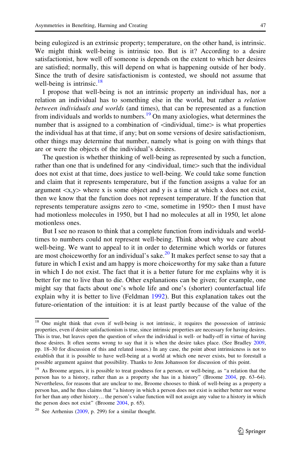being eulogized is an extrinsic property; temperature, on the other hand, is intrinsic. We might think well-being is intrinsic too. But is it? According to a desire satisfactionist, how well off someone is depends on the extent to which her desires are satisfied; normally, this will depend on what is happening outside of her body. Since the truth of desire satisfactionism is contested, we should not assume that well-being is intrinsic. $18$ 

I propose that well-being is not an intrinsic property an individual has, nor a relation an individual has to something else in the world, but rather a relation between individuals and worlds (and times), that can be represented as a function from individuals and worlds to numbers.<sup>19</sup> On many axiologies, what determines the number that is assigned to a combination of  $\leq$ individual, time $\geq$  is what properties the individual has at that time, if any; but on some versions of desire satisfactionism, other things may determine that number, namely what is going on with things that are or were the objects of the individual's desires.

The question is whether thinking of well-being as represented by such a function, rather than one that is undefined for any  $\leq$ individual, time $\geq$  such that the individual does not exist at that time, does justice to well-being. We could take some function and claim that it represents temperature, but if the function assigns a value for an argument  $\langle x, y \rangle$  where x is some object and y is a time at which x does not exist, then we know that the function does not represent temperature. If the function that represents temperature assigns zero to  $\lt$ me, sometime in 1950 $>$  then I must have had motionless molecules in 1950, but I had no molecules at all in 1950, let alone motionless ones.

But I see no reason to think that a complete function from individuals and worldtimes to numbers could not represent well-being. Think about why we care about well-being. We want to appeal to it in order to determine which worlds or futures are most choiceworthy for an individual's sake.<sup>20</sup> It makes perfect sense to say that a future in which I exist and am happy is more choiceworthy for my sake than a future in which I do not exist. The fact that it is a better future for me explains why it is better for me to live than to die. Other explanations can be given; for example, one might say that facts about one's whole life and one's (shorter) counterfactual life explain why it is better to live (Feldman [1992](#page-11-0)). But this explanation takes out the future-orientation of the intuition: it is at least partly because of the value of the

<sup>&</sup>lt;sup>18</sup> One might think that even if well-being is not intrinsic, it requires the possession of intrinsic properties, even if desire satisfactionism is true, since intrinsic properties are necessary for having desires. This is true, but leaves open the question of when the individual is well- or badly-off in virtue of having those desires. It often seems wrong to say that it is when the desire takes place. (See Bradley [2009](#page-11-0), pp. 18–30 for discussion of this and related issues.) In any case, the point about intrinsicness is not to establish that it is possible to have well-being at a world at which one never exists, but to forestall a possible argument against that possibility. Thanks to Jens Johansson for discussion of this point.

<sup>&</sup>lt;sup>19</sup> As Broome argues, it is possible to treat goodness for a person, or well-being, as "a relation that the person has to a history, rather than as a property she has in a history'' (Broome [2004,](#page-11-0) pp. 63–64). Nevertheless, for reasons that are unclear to me, Broome chooses to think of well-being as a property a person has, and he thus claims that ''a history in which a person does not exist is neither better nor worse for her than any other history… the person's value function will not assign any value to a history in which the person does not exist" (Broome [2004](#page-11-0), p. 65).

 $20$  See Arrhenius [\(2009](#page-11-0), p. 299) for a similar thought.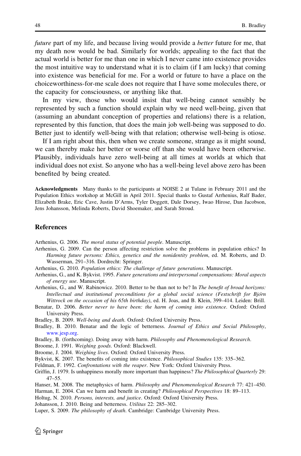<span id="page-11-0"></span>future part of my life, and because living would provide a *better* future for me, that my death now would be bad. Similarly for worlds; appealing to the fact that the actual world is better for me than one in which I never came into existence provides the most intuitive way to understand what it is to claim (if I am lucky) that coming into existence was beneficial for me. For a world or future to have a place on the choiceworthiness-for-me scale does not require that I have some molecules there, or the capacity for consciousness, or anything like that.

In my view, those who would insist that well-being cannot sensibly be represented by such a function should explain why we need well-being, given that (assuming an abundant conception of properties and relations) there is a relation, represented by this function, that does the main job well-being was supposed to do. Better just to identify well-being with that relation; otherwise well-being is otiose.

If I am right about this, then when we create someone, strange as it might sound, we can thereby make her better or worse off than she would have been otherwise. Plausibly, individuals have zero well-being at all times at worlds at which that individual does not exist. So anyone who has a well-being level above zero has been benefited by being created.

Acknowledgments Many thanks to the participants at NOISE 2 at Tulane in February 2011 and the Population Ethics workshop at McGill in April 2011. Special thanks to Gustaf Arrhenius, Ralf Bader, Elizabeth Brake, Eric Cave, Justin D'Arms, Tyler Doggett, Dale Dorsey, Iwao Hirose, Dan Jacobson, Jens Johansson, Melinda Roberts, David Shoemaker, and Sarah Stroud.

#### **References**

Arrhenius, G. 2006. The moral status of potential people. Manuscript.

- Arrhenius, G. 2009. Can the person affecting restriction solve the problems in population ethics? In Harming future persons: Ethics, genetics and the nonidentity problem, ed. M. Roberts, and D. Wasserman, 291–316. Dordrecht: Springer.
- Arrhenius, G. 2010. Population ethics: The challenge of future generations. Manuscript.
- Arrhenius, G., and K. Bykvist. 1995. Future generations and interpersonal compensations: Moral aspects of energy use. Manuscript.

Arrhenius, G., and W. Rabinowicz. 2010. Better to be than not to be? In The benefit of broad horizons: Intellectual and institutional preconditions for a global social science (Festschrift for Björn Wittrock on the occasion of his 65th birthday), ed. H. Joas, and B. Klein, 399–414. Leiden: Brill.

Benatar, D. 2006. Better never to have been: the harm of coming into existence. Oxford: Oxford University Press.

Bradley, B. 2009. Well-being and death. Oxford: Oxford University Press.

- Bradley, B. 2010. Benatar and the logic of betterness. Journal of Ethics and Social Philosophy, [www.jesp.org.](http://www.jesp.org)
- Bradley, B. (forthcoming). Doing away with harm. Philosophy and Phenomenological Research.
- Broome, J. 1991. Weighing goods. Oxford: Blackwell.
- Broome, J. 2004. Weighing lives. Oxford: Oxford University Press.
- Bykvist, K. 2007. The benefits of coming into existence. Philosophical Studies 135: 335–362.
- Feldman, F. 1992. Confrontations with the reaper. New York: Oxford University Press.
- Griffin, J. 1979. Is unhappiness morally more important than happiness? The Philosophical Quarterly 29: 47–55.
- Hanser, M. 2008. The metaphysics of harm. Philosophy and Phenomenological Research 77: 421–450.
- Harman, E. 2004. Can we harm and benefit in creating? *Philosophical Perspectives* 18: 89-113. Holtug, N. 2010. Persons, interests, and justice. Oxford: Oxford University Press.

Johansson, J. 2010. Being and betterness. Utilitas 22: 285–302.

Luper, S. 2009. The philosophy of death. Cambridge: Cambridge University Press.